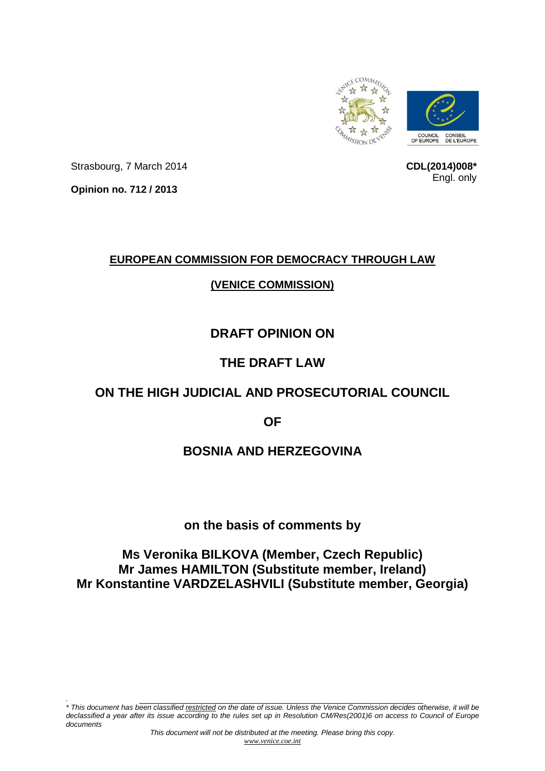

**CDL(2014)008\*** Engl. only

Strasbourg, 7 March 2014

**Opinion no. 712 / 2013**

*.*

## **EUROPEAN COMMISSION FOR DEMOCRACY THROUGH LAW**

## **(VENICE COMMISSION)**

# **DRAFT OPINION ON**

# **THE DRAFT LAW**

# **ON THE HIGH JUDICIAL AND PROSECUTORIAL COUNCIL**

**OF**

## **BOSNIA AND HERZEGOVINA**

## **on the basis of comments by**

# **Ms Veronika BILKOVA (Member, Czech Republic) Mr James HAMILTON (Substitute member, Ireland) Mr Konstantine VARDZELASHVILI (Substitute member, Georgia)**

\* This document has been classified <u>restricted</u> on the date of issue. Unless the Venice Commission decides otherwise, it will be declassified a year after its issue according to the rules set up in Resolution CM/Res(2001)6 on access to Council of Europe *documents*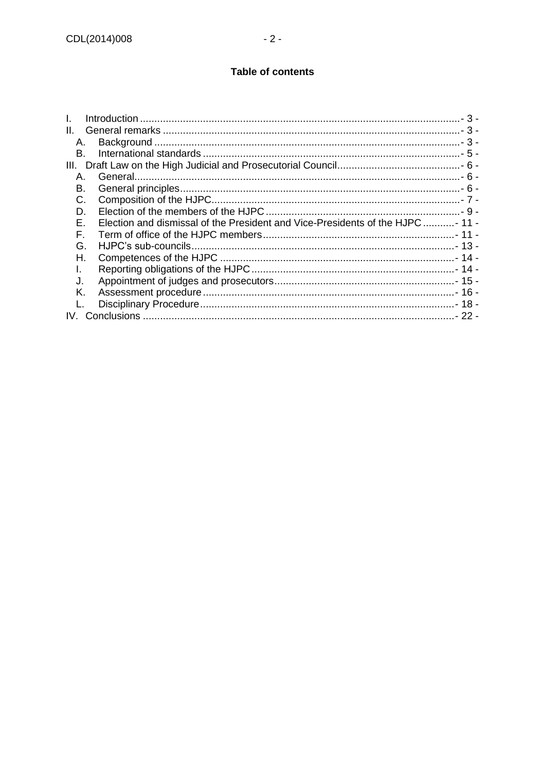#### **Table of contents**

| L.   |                                                                               |  |
|------|-------------------------------------------------------------------------------|--|
| Ш.   |                                                                               |  |
| А.   |                                                                               |  |
| B.   |                                                                               |  |
| III. |                                                                               |  |
| Α.   |                                                                               |  |
| В.   |                                                                               |  |
| C.   |                                                                               |  |
| D.   |                                                                               |  |
| Е.   | Election and dismissal of the President and Vice-Presidents of the HJPC- 11 - |  |
| F.   |                                                                               |  |
| G.   |                                                                               |  |
| Н.   |                                                                               |  |
| I.   |                                                                               |  |
| J.   |                                                                               |  |
| K.   |                                                                               |  |
|      |                                                                               |  |
| IV.  |                                                                               |  |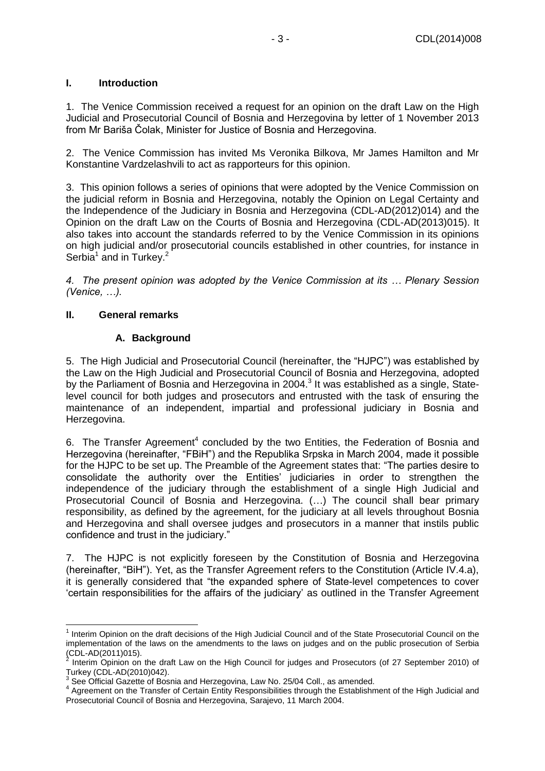#### <span id="page-2-0"></span>**I. Introduction**

1. The Venice Commission received a request for an opinion on the draft Law on the High Judicial and Prosecutorial Council of Bosnia and Herzegovina by letter of 1 November 2013 from Mr Bariša Čolak, Minister for Justice of Bosnia and Herzegovina.

2. The Venice Commission has invited Ms Veronika Bilkova, Mr James Hamilton and Mr Konstantine Vardzelashvili to act as rapporteurs for this opinion.

3. This opinion follows a series of opinions that were adopted by the Venice Commission on the judicial reform in Bosnia and Herzegovina, notably the [Opinion on Legal Certainty and](http://www.venice.coe.int/webforms/documents/?pdf=CDL-AD(2012)014-e)  [the Independence of the Judiciary in Bosnia and Herzegovina](http://www.venice.coe.int/webforms/documents/?pdf=CDL-AD(2012)014-e) (CDL-AD(2012)014) and the Opinion on the draft Law on the Courts of Bosnia and Herzegovina (CDL-AD(2013)015). It also takes into account the standards referred to by the Venice Commission in its opinions on high judicial and/or prosecutorial councils established in other countries, for instance in Serbia<sup>1</sup> and in Turkey.<sup>2</sup>

*4. The present opinion was adopted by the Venice Commission at its … Plenary Session (Venice, …).*

#### <span id="page-2-1"></span>**II. General remarks**

### **A. Background**

<span id="page-2-2"></span>5. The High Judicial and Prosecutorial Council (hereinafter, the "HJPC") was established by the Law on the High Judicial and Prosecutorial Council of Bosnia and Herzegovina, adopted by the Parliament of Bosnia and Herzegovina in 2004. $^3$  It was established as a single, Statelevel council for both judges and prosecutors and entrusted with the task of ensuring the maintenance of an independent, impartial and professional judiciary in Bosnia and Herzegovina.

6. The Transfer Agreement<sup>4</sup> concluded by the two Entities, the Federation of Bosnia and Herzegovina (hereinafter, "FBiH") and the Republika Srpska in March 2004, made it possible for the HJPC to be set up. The Preamble of the Agreement states that: "The parties desire to consolidate the authority over the Entities' judiciaries in order to strengthen the independence of the judiciary through the establishment of a single High Judicial and Prosecutorial Council of Bosnia and Herzegovina. (…) The council shall bear primary responsibility, as defined by the agreement, for the judiciary at all levels throughout Bosnia and Herzegovina and shall oversee judges and prosecutors in a manner that instils public confidence and trust in the judiciary."

7. The HJPC is not explicitly foreseen by the Constitution of Bosnia and Herzegovina (hereinafter, "BiH"). Yet, as the Transfer Agreement refers to the Constitution (Article IV.4.a), it is generally considered that "the expanded sphere of State-level competences to cover 'certain responsibilities for the affairs of the judiciary' as outlined in the Transfer Agreement

 1 Interim Opinion on the draft decisions of the High Judicial Council and of the State Prosecutorial Council on the implementation of the laws on the amendments to the laws on judges and on the public prosecution of Serbia (CDL-AD(2011)015).<br><sup>2</sup> Interim Opinion on

Interim Opinion on the draft Law on the High Council for judges and Prosecutors (of 27 September 2010) of Turkey (CDL-AD(2010)042).

 $3$  See Official Gazette of Bosnia and Herzegovina, Law No. 25/04 Coll., as amended.

<sup>&</sup>lt;sup>4</sup> Agreement on the Transfer of Certain Entity Responsibilities through the Establishment of the High Judicial and Prosecutorial Council of Bosnia and Herzegovina, Sarajevo, 11 March 2004.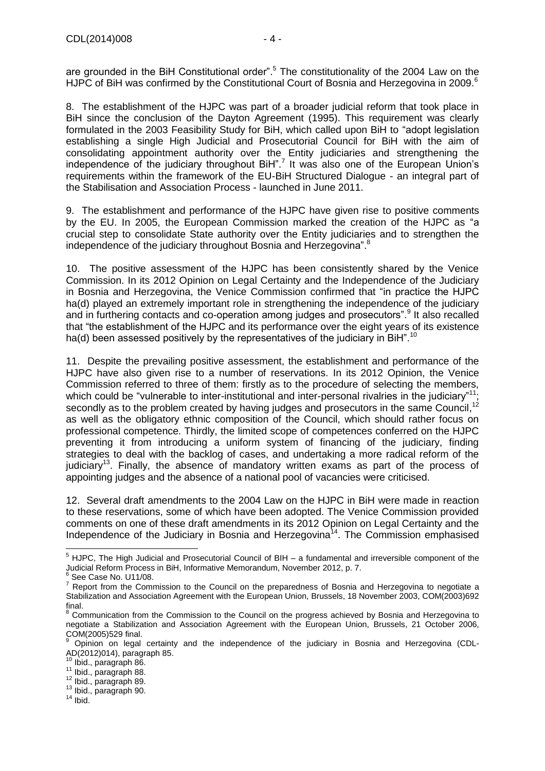are grounded in the BiH Constitutional order".<sup>5</sup> The constitutionality of the 2004 Law on the HJPC of BiH was confirmed by the Constitutional Court of Bosnia and Herzegovina in 2009.<sup>6</sup>

8. The establishment of the HJPC was part of a broader judicial reform that took place in BiH since the conclusion of the Dayton Agreement (1995). This requirement was clearly formulated in the 2003 Feasibility Study for BiH, which called upon BiH to "adopt legislation establishing a single High Judicial and Prosecutorial Council for BiH with the aim of consolidating appointment authority over the Entity judiciaries and strengthening the independence of the judiciary throughout BiH".<sup>7</sup> It was also one of the European Union's requirements within the framework of the EU-BiH Structured Dialogue - an integral part of the Stabilisation and Association Process - launched in June 2011.

9. The establishment and performance of the HJPC have given rise to positive comments by the EU. In 2005, the European Commission marked the creation of the HJPC as "a crucial step to consolidate State authority over the Entity judiciaries and to strengthen the independence of the judiciary throughout Bosnia and Herzegovina".<sup>8</sup>

10. The positive assessment of the HJPC has been consistently shared by the Venice Commission. In its 2012 Opinion on Legal Certainty and the Independence of the Judiciary in Bosnia and Herzegovina, the Venice Commission confirmed that "in practice the HJPC ha(d) played an extremely important role in strengthening the independence of the judiciary and in furthering contacts and co-operation among judges and prosecutors".<sup>9</sup> It also recalled that "the establishment of the HJPC and its performance over the eight years of its existence ha(d) been assessed positively by the representatives of the judiciary in  $\overline{BiH}^{n,10}$ 

11. Despite the prevailing positive assessment, the establishment and performance of the HJPC have also given rise to a number of reservations. In its 2012 Opinion, the Venice Commission referred to three of them: firstly as to the procedure of selecting the members, which could be "vulnerable to inter-institutional and inter-personal rivalries in the judiciary"<sup>11</sup>: secondly as to the problem created by having judges and prosecutors in the same Council,  $^{12}$ as well as the obligatory ethnic composition of the Council, which should rather focus on professional competence. Thirdly, the limited scope of competences conferred on the HJPC preventing it from introducing a uniform system of financing of the judiciary, finding strategies to deal with the backlog of cases, and undertaking a more radical reform of the judiciary<sup>13</sup>. Finally, the absence of mandatory written exams as part of the process of appointing judges and the absence of a national pool of vacancies were criticised.

12. Several draft amendments to the 2004 Law on the HJPC in BiH were made in reaction to these reservations, some of which have been adopted. The Venice Commission provided comments on one of these draft amendments in its 2012 Opinion on Legal Certainty and the Independence of the Judiciary in Bosnia and Herzegovina<sup>14</sup>. The Commission emphasised

 $14$  Ibid.

 $\overline{a}$  $<sup>5</sup>$  HJPC, The High Judicial and Prosecutorial Council of BIH – a fundamental and irreversible component of the</sup> Judicial Reform Process in BiH, Informative Memorandum, November 2012, p. 7. 6

See Case No. U11/08.

 $7$  Report from the Commission to the Council on the preparedness of Bosnia and Herzegovina to negotiate a Stabilization and Association Agreement with the European Union, Brussels, 18 November 2003, COM(2003)692 final.

<sup>8</sup> Communication from the Commission to the Council on the progress achieved by Bosnia and Herzegovina to negotiate a Stabilization and Association Agreement with the European Union, Brussels, 21 October 2006, COM(2005)529 final.

<sup>9</sup> Opinion on legal certainty and the independence of the judiciary in Bosnia and Herzegovina (CDL-AD(2012)014), paragraph 85.

<sup>&</sup>lt;sup>10</sup> Ibid., paragraph 86.

<sup>11</sup> Ibid., paragraph 88.

<sup>12</sup> Ibid., paragraph 89.

<sup>&</sup>lt;sup>13</sup> Ibid., paragraph 90.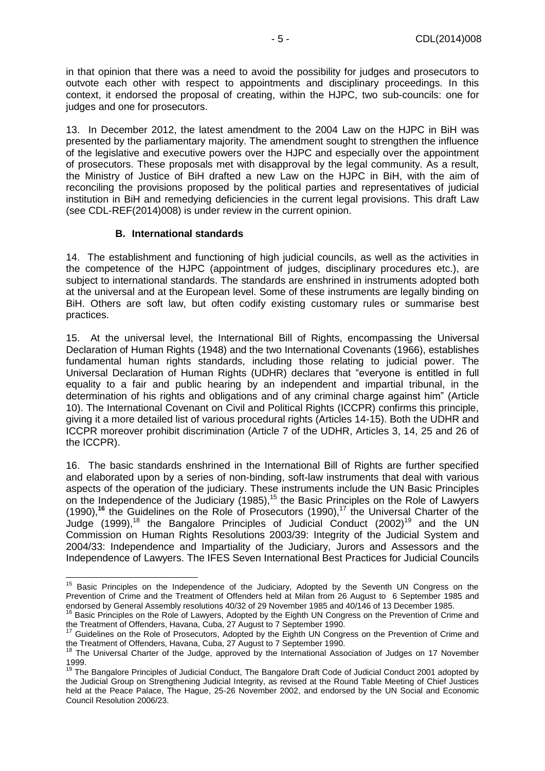in that opinion that there was a need to avoid the possibility for judges and prosecutors to outvote each other with respect to appointments and disciplinary proceedings. In this context, it endorsed the proposal of creating, within the HJPC, two sub-councils: one for judges and one for prosecutors.

13. In December 2012, the latest amendment to the 2004 Law on the HJPC in BiH was presented by the parliamentary majority. The amendment sought to strengthen the influence of the legislative and executive powers over the HJPC and especially over the appointment of prosecutors. These proposals met with disapproval by the legal community. As a result, the Ministry of Justice of BiH drafted a new Law on the HJPC in BiH, with the aim of reconciling the provisions proposed by the political parties and representatives of judicial institution in BiH and remedying deficiencies in the current legal provisions. This draft Law (see CDL-REF(2014)008) is under review in the current opinion.

#### **B. International standards**

<span id="page-4-0"></span>14. The establishment and functioning of high judicial councils, as well as the activities in the competence of the HJPC (appointment of judges, disciplinary procedures etc.), are subject to international standards. The standards are enshrined in instruments adopted both at the universal and at the European level. Some of these instruments are legally binding on BiH. Others are soft law, but often codify existing customary rules or summarise best practices.

15. At the universal level, the International Bill of Rights, encompassing the Universal Declaration of Human Rights (1948) and the two International Covenants (1966), establishes fundamental human rights standards, including those relating to judicial power. The Universal Declaration of Human Rights (UDHR) declares that "everyone is entitled in full equality to a fair and public hearing by an independent and impartial tribunal, in the determination of his rights and obligations and of any criminal charge against him" (Article 10). The International Covenant on Civil and Political Rights (ICCPR) confirms this principle, giving it a more detailed list of various procedural rights (Articles 14-15). Both the UDHR and ICCPR moreover prohibit discrimination (Article 7 of the UDHR, Articles 3, 14, 25 and 26 of the ICCPR).

16. The basic standards enshrined in the International Bill of Rights are further specified and elaborated upon by a series of non-binding, soft-law instruments that deal with various aspects of the operation of the judiciary. These instruments include the UN Basic Principles on the Independence of the Judiciary  $(1985)$ ,<sup>15</sup> the Basic Principles on the Role of Lawyers (1990),<sup>16</sup> the Guidelines on the Role of Prosecutors (1990),<sup>17</sup> the Universal Charter of the Judge (1999),<sup>18</sup> the Bangalore Principles of Judicial Conduct (2002)<sup>19</sup> and the UN Commission on Human Rights Resolutions 2003/39: Integrity of the Judicial System and 2004/33: Independence and Impartiality of the Judiciary, Jurors and Assessors and the Independence of Lawyers. The IFES Seven International Best Practices for Judicial Councils

<sup>&</sup>lt;sup>15</sup> Basic Principles on the Independence of the Judiciary, Adopted by the Seventh UN Congress on the Prevention of Crime and the Treatment of Offenders held at Milan from 26 August to 6 September 1985 and endorsed by General Assembly resolutions 40/32 of 29 November 1985 and 40/146 of 13 December 1985.

<sup>&</sup>lt;sup>16</sup> Basic Principles on the Role of Lawyers, Adopted by the Eighth UN Congress on the Prevention of Crime and the Treatment of Offenders, Havana, Cuba, 27 August to 7 September 1990.

Guidelines on the Role of Prosecutors, Adopted by the Eighth UN Congress on the Prevention of Crime and the Treatment of Offenders, Havana, Cuba, 27 August to 7 September 1990.

The Universal Charter of the Judge, approved by the International Association of Judges on 17 November 1999.

<sup>&</sup>lt;sup>19</sup> The Bangalore Principles of Judicial Conduct, The Bangalore Draft Code of Judicial Conduct 2001 adopted by the Judicial Group on Strengthening Judicial Integrity, as revised at the Round Table Meeting of Chief Justices held at the Peace Palace, The Hague, 25-26 November 2002, and endorsed by the UN Social and Economic Council Resolution 2006/23.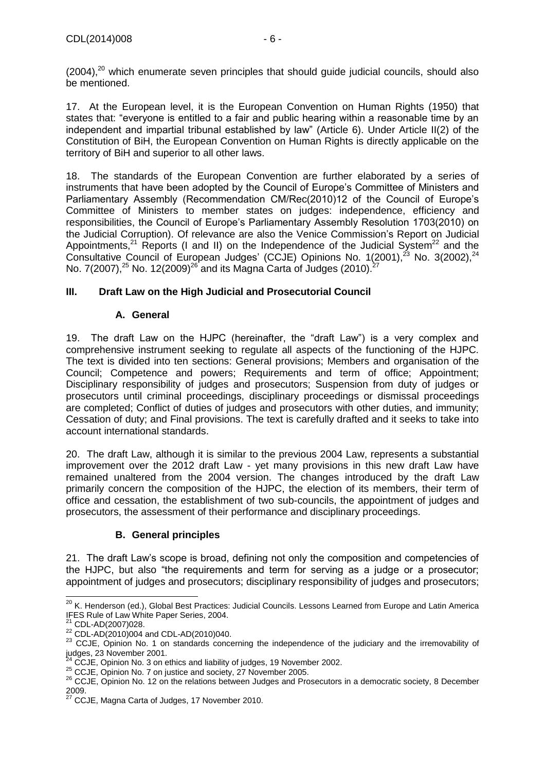17. At the European level, it is the European Convention on Human Rights (1950) that states that: "everyone is entitled to a fair and public hearing within a reasonable time by an independent and impartial tribunal established by law" (Article 6). Under Article II(2) of the Constitution of BiH, the European Convention on Human Rights is directly applicable on the territory of BiH and superior to all other laws.

18. The standards of the European Convention are further elaborated by a series of instruments that have been adopted by the Council of Europe's Committee of Ministers and Parliamentary Assembly (Recommendation CM/Rec(2010)12 of the Council of Europe's Committee of Ministers to member states on judges: independence, efficiency and responsibilities, the Council of Europe's Parliamentary Assembly Resolution 1703(2010) on the Judicial Corruption). Of relevance are also the Venice Commission's Report on Judicial Appointments,<sup>21</sup> Reports (I and II) on the Independence of the Judicial System<sup>22</sup> and the Consultative Council of European Judges' (CCJE) Opinions No. 1(2001),<sup>23</sup> No. 3(2002),<sup>24</sup> No. 7(2007), $^{25}$  No. 12(2009) $^{26}$  and its Magna Carta of Judges (2010). $^{27}$ 

## <span id="page-5-0"></span>**III. Draft Law on the High Judicial and Prosecutorial Council**

### **A. General**

<span id="page-5-1"></span>19. The draft Law on the HJPC (hereinafter, the "draft Law") is a very complex and comprehensive instrument seeking to regulate all aspects of the functioning of the HJPC. The text is divided into ten sections: General provisions; Members and organisation of the Council; Competence and powers; Requirements and term of office; Appointment; Disciplinary responsibility of judges and prosecutors; Suspension from duty of judges or prosecutors until criminal proceedings, disciplinary proceedings or dismissal proceedings are completed; Conflict of duties of judges and prosecutors with other duties, and immunity; Cessation of duty; and Final provisions. The text is carefully drafted and it seeks to take into account international standards.

20. The draft Law, although it is similar to the previous 2004 Law, represents a substantial improvement over the 2012 draft Law - yet many provisions in this new draft Law have remained unaltered from the 2004 version. The changes introduced by the draft Law primarily concern the composition of the HJPC, the election of its members, their term of office and cessation, the establishment of two sub-councils, the appointment of judges and prosecutors, the assessment of their performance and disciplinary proceedings.

## **B. General principles**

<span id="page-5-2"></span>21. The draft Law's scope is broad, defining not only the composition and competencies of the HJPC, but also "the requirements and term for serving as a judge or a prosecutor; appointment of judges and prosecutors; disciplinary responsibility of judges and prosecutors;

 $\overline{a}$ <sup>20</sup> K. Henderson (ed.), Global Best Practices: Judicial Councils. Lessons Learned from Europe and Latin America IFES Rule of Law White Paper Series, 2004.

<sup>&</sup>lt;sup>21</sup> CDL-AD(2007)028.

<sup>22</sup> CDL-AD(2010)004 and CDL-AD(2010)040.

<sup>&</sup>lt;sup>23</sup> CCJE, Opinion No. 1 on standards concerning the independence of the judiciary and the irremovability of judges, 23 November 2001.

CCJE, Opinion No. 3 on ethics and liability of judges, 19 November 2002.

<sup>&</sup>lt;sup>25</sup> CCJE, Opinion No. 7 on justice and society, 27 November 2005.

<sup>26</sup> CCJE, Opinion No. 12 on the relations between Judges and Prosecutors in a democratic society, 8 December 2009.

 $27$  CCJE, Magna Carta of Judges, 17 November 2010.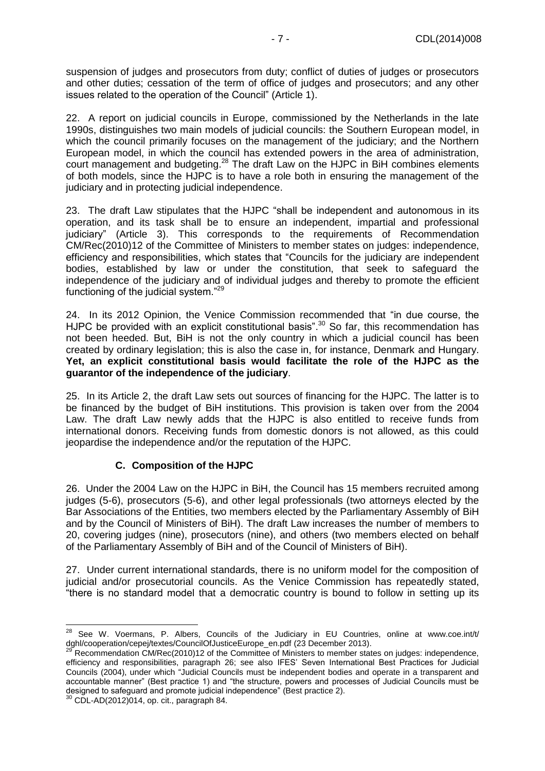suspension of judges and prosecutors from duty; conflict of duties of judges or prosecutors and other duties; cessation of the term of office of judges and prosecutors; and any other issues related to the operation of the Council" (Article 1).

22. A report on judicial councils in Europe, commissioned by the Netherlands in the late 1990s, distinguishes two main models of judicial councils: the Southern European model, in which the council primarily focuses on the management of the judiciary; and the Northern European model, in which the council has extended powers in the area of administration, court management and budgeting.<sup>28</sup> The draft Law on the HJPC in BiH combines elements of both models, since the HJPC is to have a role both in ensuring the management of the judiciary and in protecting judicial independence.

23. The draft Law stipulates that the HJPC "shall be independent and autonomous in its operation, and its task shall be to ensure an independent, impartial and professional judiciary" (Article 3). This corresponds to the requirements of Recommendation CM/Rec(2010)12 of the Committee of Ministers to member states on judges: independence, efficiency and responsibilities, which states that "Councils for the judiciary are independent bodies, established by law or under the constitution, that seek to safeguard the independence of the judiciary and of individual judges and thereby to promote the efficient functioning of the judicial system."<sup>29</sup>

24. In its 2012 Opinion, the Venice Commission recommended that "in due course, the HJPC be provided with an explicit constitutional basis".<sup>30</sup> So far, this recommendation has not been heeded. But, BiH is not the only country in which a judicial council has been created by ordinary legislation; this is also the case in, for instance, Denmark and Hungary. **Yet, an explicit constitutional basis would facilitate the role of the HJPC as the guarantor of the independence of the judiciary**.

25. In its Article 2, the draft Law sets out sources of financing for the HJPC. The latter is to be financed by the budget of BiH institutions. This provision is taken over from the 2004 Law. The draft Law newly adds that the HJPC is also entitled to receive funds from international donors. Receiving funds from domestic donors is not allowed, as this could jeopardise the independence and/or the reputation of the HJPC.

## **C. Composition of the HJPC**

<span id="page-6-0"></span>26. Under the 2004 Law on the HJPC in BiH, the Council has 15 members recruited among judges (5-6), prosecutors (5-6), and other legal professionals (two attorneys elected by the Bar Associations of the Entities, two members elected by the Parliamentary Assembly of BiH and by the Council of Ministers of BiH). The draft Law increases the number of members to 20, covering judges (nine), prosecutors (nine), and others (two members elected on behalf of the Parliamentary Assembly of BiH and of the Council of Ministers of BiH).

27. Under current international standards, there is no uniform model for the composition of judicial and/or prosecutorial councils. As the Venice Commission has repeatedly stated, "there is no standard model that a democratic country is bound to follow in setting up its

  $^{28}$  See W. Voermans, P. Albers, Councils of the Judiciary in EU Countries, online at www.coe.int/t/ dghl/cooperation/cepej/textes/CouncilOfJusticeEurope\_en.pdf (23 December 2013).

Recommendation CM/Rec(2010)12 of the Committee of Ministers to member states on judges: independence, efficiency and responsibilities, paragraph 26; see also IFES' Seven International Best Practices for Judicial Councils (2004), under which "Judicial Councils must be independent bodies and operate in a transparent and accountable manner" (Best practice 1) and "the structure, powers and processes of Judicial Councils must be designed to safeguard and promote judicial independence" (Best practice 2).

 $\overline{O}$  CDL-AD(2012)014, op. cit., paragraph 84.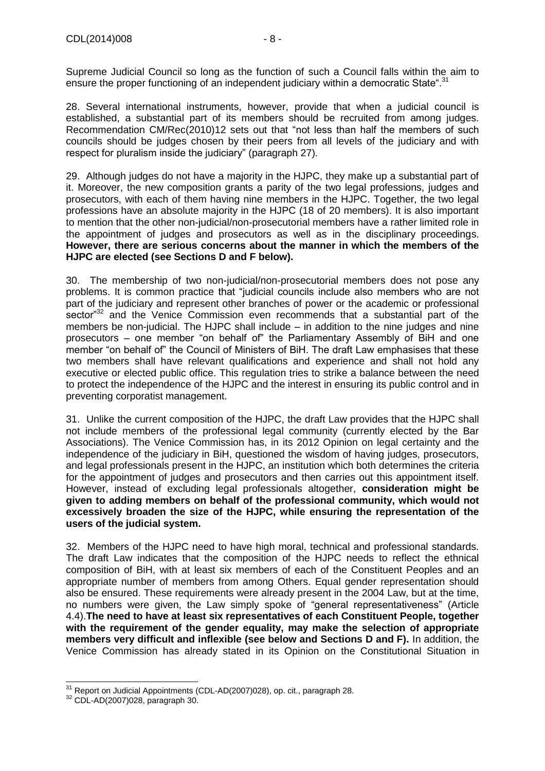Supreme Judicial Council so long as the function of such a Council falls within the aim to ensure the proper functioning of an independent judiciary within a democratic State".<sup>31</sup>

28. Several international instruments, however, provide that when a judicial council is established, a substantial part of its members should be recruited from among judges. Recommendation CM/Rec(2010)12 sets out that "not less than half the members of such councils should be judges chosen by their peers from all levels of the judiciary and with respect for pluralism inside the judiciary" (paragraph 27).

29. Although judges do not have a majority in the HJPC, they make up a substantial part of it. Moreover, the new composition grants a parity of the two legal professions, judges and prosecutors, with each of them having nine members in the HJPC. Together, the two legal professions have an absolute majority in the HJPC (18 of 20 members). It is also important to mention that the other non-judicial/non-prosecutorial members have a rather limited role in the appointment of judges and prosecutors as well as in the disciplinary proceedings. **However, there are serious concerns about the manner in which the members of the HJPC are elected (see Sections D and F below).**

30. The membership of two non-judicial/non-prosecutorial members does not pose any problems. It is common practice that "judicial councils include also members who are not part of the judiciary and represent other branches of power or the academic or professional sector<sup>32</sup> and the Venice Commission even recommends that a substantial part of the members be non-judicial. The HJPC shall include – in addition to the nine judges and nine prosecutors – one member "on behalf of" the Parliamentary Assembly of BiH and one member "on behalf of" the Council of Ministers of BiH. The draft Law emphasises that these two members shall have relevant qualifications and experience and shall not hold any executive or elected public office. This regulation tries to strike a balance between the need to protect the independence of the HJPC and the interest in ensuring its public control and in preventing corporatist management.

31. Unlike the current composition of the HJPC, the draft Law provides that the HJPC shall not include members of the professional legal community (currently elected by the Bar Associations). The Venice Commission has, in its 2012 Opinion on legal certainty and the independence of the judiciary in BiH, questioned the wisdom of having judges, prosecutors, and legal professionals present in the HJPC, an institution which both determines the criteria for the appointment of judges and prosecutors and then carries out this appointment itself. However, instead of excluding legal professionals altogether, **consideration might be given to adding members on behalf of the professional community, which would not excessively broaden the size of the HJPC, while ensuring the representation of the users of the judicial system.**

32. Members of the HJPC need to have high moral, technical and professional standards. The draft Law indicates that the composition of the HJPC needs to reflect the ethnical composition of BiH, with at least six members of each of the Constituent Peoples and an appropriate number of members from among Others. Equal gender representation should also be ensured. These requirements were already present in the 2004 Law, but at the time, no numbers were given, the Law simply spoke of "general representativeness" (Article 4.4).**The need to have at least six representatives of each Constituent People, together with the requirement of the gender equality, may make the selection of appropriate members very difficult and inflexible (see below and Sections D and F).** In addition, the Venice Commission has already stated in its Opinion on the Constitutional Situation in

 $\overline{\phantom{a}}$  $31$  Report on Judicial Appointments (CDL-AD(2007)028), op. cit., paragraph 28.

<sup>32</sup> CDL-AD(2007)028, paragraph 30.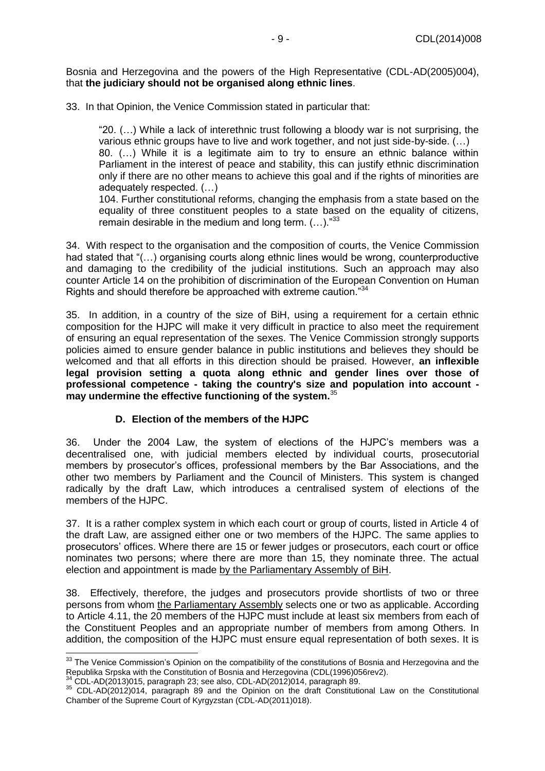Bosnia and Herzegovina and the powers of the High Representative (CDL-AD(2005)004), that **the judiciary should not be organised along ethnic lines**.

33. In that Opinion, the Venice Commission stated in particular that:

"20. (…) While a lack of interethnic trust following a bloody war is not surprising, the various ethnic groups have to live and work together, and not just side-by-side. (…) 80. (…) While it is a legitimate aim to try to ensure an ethnic balance within Parliament in the interest of peace and stability, this can justify ethnic discrimination only if there are no other means to achieve this goal and if the rights of minorities are adequately respected. (…)

104. Further constitutional reforms, changing the emphasis from a state based on the equality of three constituent peoples to a state based on the equality of citizens, remain desirable in the medium and long term.  $(...).$ <sup>33</sup>

34. With respect to the organisation and the composition of courts, the Venice Commission had stated that "(...) organising courts along ethnic lines would be wrong, counterproductive and damaging to the credibility of the judicial institutions. Such an approach may also counter Article 14 on the prohibition of discrimination of the European Convention on Human Rights and should therefore be approached with extreme caution."<sup>34</sup>

35. In addition, in a country of the size of BiH, using a requirement for a certain ethnic composition for the HJPC will make it very difficult in practice to also meet the requirement of ensuring an equal representation of the sexes. The Venice Commission strongly supports policies aimed to ensure gender balance in public institutions and believes they should be welcomed and that all efforts in this direction should be praised. However, **an inflexible legal provision setting a quota along ethnic and gender lines over those of professional competence - taking the country's size and population into account may undermine the effective functioning of the system.**<sup>35</sup>

#### **D. Election of the members of the HJPC**

<span id="page-8-0"></span>36. Under the 2004 Law, the system of elections of the HJPC's members was a decentralised one, with judicial members elected by individual courts, prosecutorial members by prosecutor's offices, professional members by the Bar Associations, and the other two members by Parliament and the Council of Ministers. This system is changed radically by the draft Law, which introduces a centralised system of elections of the members of the HJPC.

37. It is a rather complex system in which each court or group of courts, listed in Article 4 of the draft Law, are assigned either one or two members of the HJPC. The same applies to prosecutors' offices. Where there are 15 or fewer judges or prosecutors, each court or office nominates two persons; where there are more than 15, they nominate three. The actual election and appointment is made by the Parliamentary Assembly of BiH.

38. Effectively, therefore, the judges and prosecutors provide shortlists of two or three persons from whom the Parliamentary Assembly selects one or two as applicable. According to Article 4.11, the 20 members of the HJPC must include at least six members from each of the Constituent Peoples and an appropriate number of members from among Others. In addition, the composition of the HJPC must ensure equal representation of both sexes. It is

j  $33$  The Venice Commission's Opinion on the compatibility of the constitutions of Bosnia and Herzegovina and the Republika Srpska with the Constitution of Bosnia and Herzegovina (CDL(1996)056rev2).

 $^4$  CDL-AD(2013)015, paragraph 23; see also, CDL-AD(2012)014, paragraph 89.

<sup>35</sup> CDL-AD(2012)014, paragraph 89 and the Opinion on the draft Constitutional Law on the Constitutional Chamber of the Supreme Court of Kyrgyzstan (CDL-AD(2011)018).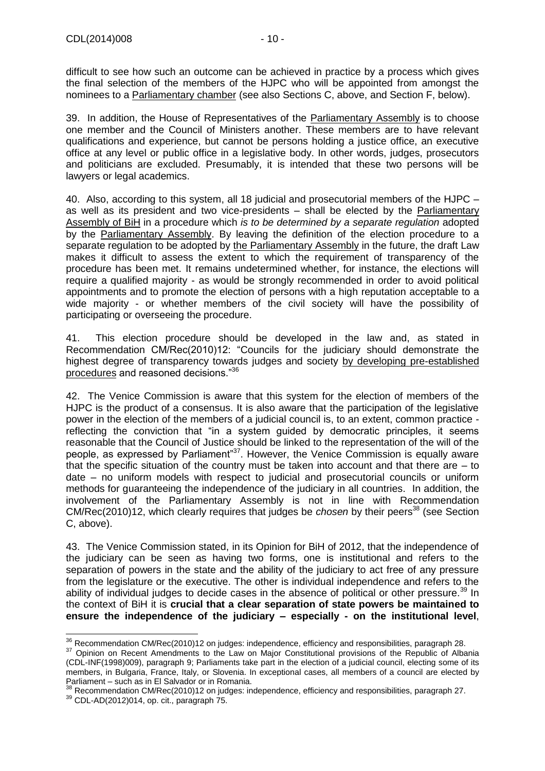difficult to see how such an outcome can be achieved in practice by a process which gives the final selection of the members of the HJPC who will be appointed from amongst the nominees to a Parliamentary chamber (see also Sections C, above, and Section F, below).

39. In addition, the House of Representatives of the Parliamentary Assembly is to choose one member and the Council of Ministers another. These members are to have relevant qualifications and experience, but cannot be persons holding a justice office, an executive office at any level or public office in a legislative body. In other words, judges, prosecutors and politicians are excluded. Presumably, it is intended that these two persons will be lawyers or legal academics.

40. Also, according to this system, all 18 judicial and prosecutorial members of the HJPC – as well as its president and two vice-presidents – shall be elected by the Parliamentary Assembly of BiH in a procedure which *is to be determined by a separate regulation* adopted by the Parliamentary Assembly. By leaving the definition of the election procedure to a separate regulation to be adopted by the Parliamentary Assembly in the future, the draft Law makes it difficult to assess the extent to which the requirement of transparency of the procedure has been met. It remains undetermined whether, for instance, the elections will require a qualified majority - as would be strongly recommended in order to avoid political appointments and to promote the election of persons with a high reputation acceptable to a wide majority - or whether members of the civil society will have the possibility of participating or overseeing the procedure.

41. This election procedure should be developed in the law and, as stated in Recommendation CM/Rec(2010)12: "Councils for the judiciary should demonstrate the highest degree of transparency towards judges and society by developing pre-established procedures and reasoned decisions."<sup>36</sup>

42. The Venice Commission is aware that this system for the election of members of the HJPC is the product of a consensus. It is also aware that the participation of the legislative power in the election of the members of a judicial council is, to an extent, common practice reflecting the conviction that "in a system guided by democratic principles, it seems reasonable that the Council of Justice should be linked to the representation of the will of the people, as expressed by Parliament<sup>37</sup>. However, the Venice Commission is equally aware that the specific situation of the country must be taken into account and that there are – to date – no uniform models with respect to judicial and prosecutorial councils or uniform methods for guaranteeing the independence of the judiciary in all countries. In addition, the involvement of the Parliamentary Assembly is not in line with Recommendation CM/Rec(2010)12, which clearly requires that judges be *chosen* by their peers<sup>38</sup> (see Section C, above).

43. The Venice Commission stated, in its Opinion for BiH of 2012, that the independence of the judiciary can be seen as having two forms, one is institutional and refers to the separation of powers in the state and the ability of the judiciary to act free of any pressure from the legislature or the executive. The other is individual independence and refers to the ability of individual judges to decide cases in the absence of political or other pressure.<sup>39</sup> In the context of BiH it is **crucial that a clear separation of state powers be maintained to ensure the independence of the judiciary – especially - on the institutional level**,

j  $36$  Recommendation CM/Rec(2010)12 on judges: independence, efficiency and responsibilities, paragraph 28.

<sup>&</sup>lt;sup>37</sup> Opinion on Recent Amendments to the Law on Major Constitutional provisions of the Republic of Albania (CDL-INF(1998)009), paragraph 9; Parliaments take part in the election of a judicial council, electing some of its members, in Bulgaria, France, Italy, or Slovenia. In exceptional cases, all members of a council are elected by Parliament – such as in El Salvador or in Romania.

<sup>&</sup>lt;sup>38</sup> Recommendation CM/Rec(2010)12 on judges: independence, efficiency and responsibilities, paragraph 27.

 $39$  CDL-AD(2012)014, op. cit., paragraph 75.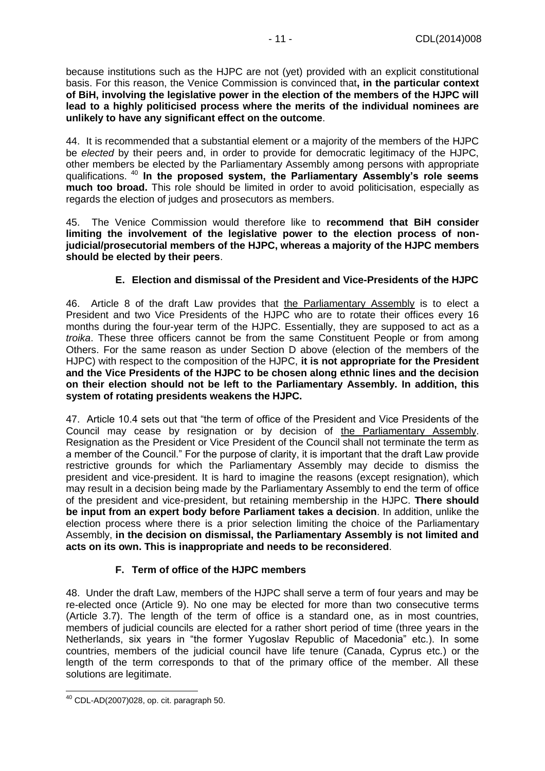because institutions such as the HJPC are not (yet) provided with an explicit constitutional basis. For this reason, the Venice Commission is convinced that**, in the particular context of BiH, involving the legislative power in the election of the members of the HJPC will lead to a highly politicised process where the merits of the individual nominees are unlikely to have any significant effect on the outcome**.

44. It is recommended that a substantial element or a majority of the members of the HJPC be *elected* by their peers and, in order to provide for democratic legitimacy of the HJPC, other members be elected by the Parliamentary Assembly among persons with appropriate qualifications. <sup>40</sup> **In the proposed system, the Parliamentary Assembly's role seems much too broad.** This role should be limited in order to avoid politicisation, especially as regards the election of judges and prosecutors as members.

45. The Venice Commission would therefore like to **recommend that BiH consider limiting the involvement of the legislative power to the election process of nonjudicial/prosecutorial members of the HJPC, whereas a majority of the HJPC members should be elected by their peers**.

## **E. Election and dismissal of the President and Vice-Presidents of the HJPC**

<span id="page-10-0"></span>46. Article 8 of the draft Law provides that the Parliamentary Assembly is to elect a President and two Vice Presidents of the HJPC who are to rotate their offices every 16 months during the four-year term of the HJPC. Essentially, they are supposed to act as a *troika*. These three officers cannot be from the same Constituent People or from among Others. For the same reason as under Section D above (election of the members of the HJPC) with respect to the composition of the HJPC, **it is not appropriate for the President and the Vice Presidents of the HJPC to be chosen along ethnic lines and the decision on their election should not be left to the Parliamentary Assembly. In addition, this system of rotating presidents weakens the HJPC.**

47. Article 10.4 sets out that "the term of office of the President and Vice Presidents of the Council may cease by resignation or by decision of the Parliamentary Assembly. Resignation as the President or Vice President of the Council shall not terminate the term as a member of the Council." For the purpose of clarity, it is important that the draft Law provide restrictive grounds for which the Parliamentary Assembly may decide to dismiss the president and vice-president. It is hard to imagine the reasons (except resignation), which may result in a decision being made by the Parliamentary Assembly to end the term of office of the president and vice-president, but retaining membership in the HJPC. **There should be input from an expert body before Parliament takes a decision**. In addition, unlike the election process where there is a prior selection limiting the choice of the Parliamentary Assembly, **in the decision on dismissal, the Parliamentary Assembly is not limited and acts on its own. This is inappropriate and needs to be reconsidered**.

## **F. Term of office of the HJPC members**

<span id="page-10-1"></span>48. Under the draft Law, members of the HJPC shall serve a term of four years and may be re-elected once (Article 9). No one may be elected for more than two consecutive terms (Article 3.7). The length of the term of office is a standard one, as in most countries, members of judicial councils are elected for a rather short period of time (three years in the Netherlands, six years in "the former Yugoslav Republic of Macedonia" etc.). In some countries, members of the judicial council have life tenure (Canada, Cyprus etc.) or the length of the term corresponds to that of the primary office of the member. All these solutions are legitimate.

  $40$  CDL-AD(2007)028, op. cit. paragraph 50.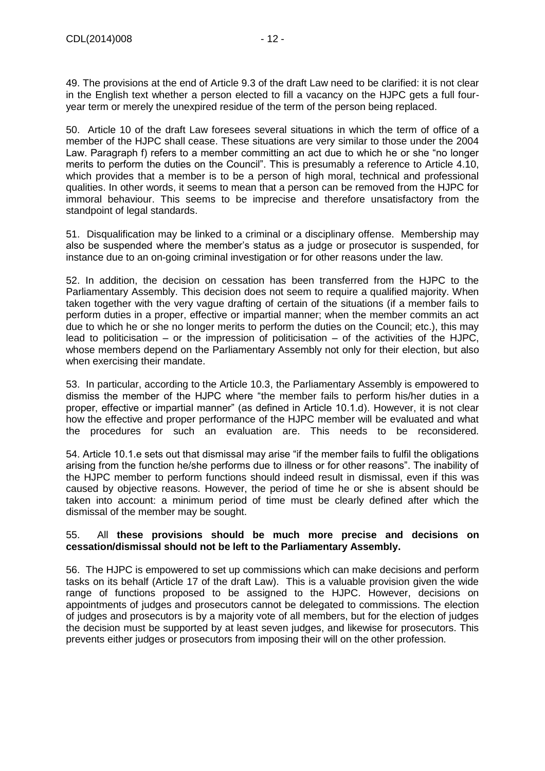49. The provisions at the end of Article 9.3 of the draft Law need to be clarified: it is not clear in the English text whether a person elected to fill a vacancy on the HJPC gets a full fouryear term or merely the unexpired residue of the term of the person being replaced.

50. Article 10 of the draft Law foresees several situations in which the term of office of a member of the HJPC shall cease. These situations are very similar to those under the 2004 Law. Paragraph f) refers to a member committing an act due to which he or she "no longer merits to perform the duties on the Council". This is presumably a reference to Article 4.10, which provides that a member is to be a person of high moral, technical and professional qualities. In other words, it seems to mean that a person can be removed from the HJPC for immoral behaviour. This seems to be imprecise and therefore unsatisfactory from the standpoint of legal standards.

51. Disqualification may be linked to a criminal or a disciplinary offense. Membership may also be suspended where the member's status as a judge or prosecutor is suspended, for instance due to an on-going criminal investigation or for other reasons under the law.

52. In addition, the decision on cessation has been transferred from the HJPC to the Parliamentary Assembly. This decision does not seem to require a qualified majority. When taken together with the very vague drafting of certain of the situations (if a member fails to perform duties in a proper, effective or impartial manner; when the member commits an act due to which he or she no longer merits to perform the duties on the Council; etc.), this may lead to politicisation – or the impression of politicisation – of the activities of the HJPC, whose members depend on the Parliamentary Assembly not only for their election, but also when exercising their mandate.

53. In particular, according to the Article 10.3, the Parliamentary Assembly is empowered to dismiss the member of the HJPC where "the member fails to perform his/her duties in a proper, effective or impartial manner" (as defined in Article 10.1.d). However, it is not clear how the effective and proper performance of the HJPC member will be evaluated and what the procedures for such an evaluation are. This needs to be reconsidered.

54. Article 10.1.e sets out that dismissal may arise "if the member fails to fulfil the obligations arising from the function he/she performs due to illness or for other reasons". The inability of the HJPC member to perform functions should indeed result in dismissal, even if this was caused by objective reasons. However, the period of time he or she is absent should be taken into account: a minimum period of time must be clearly defined after which the dismissal of the member may be sought.

#### 55. All **these provisions should be much more precise and decisions on cessation/dismissal should not be left to the Parliamentary Assembly.**

56. The HJPC is empowered to set up commissions which can make decisions and perform tasks on its behalf (Article 17 of the draft Law). This is a valuable provision given the wide range of functions proposed to be assigned to the HJPC. However, decisions on appointments of judges and prosecutors cannot be delegated to commissions. The election of judges and prosecutors is by a majority vote of all members, but for the election of judges the decision must be supported by at least seven judges, and likewise for prosecutors. This prevents either judges or prosecutors from imposing their will on the other profession.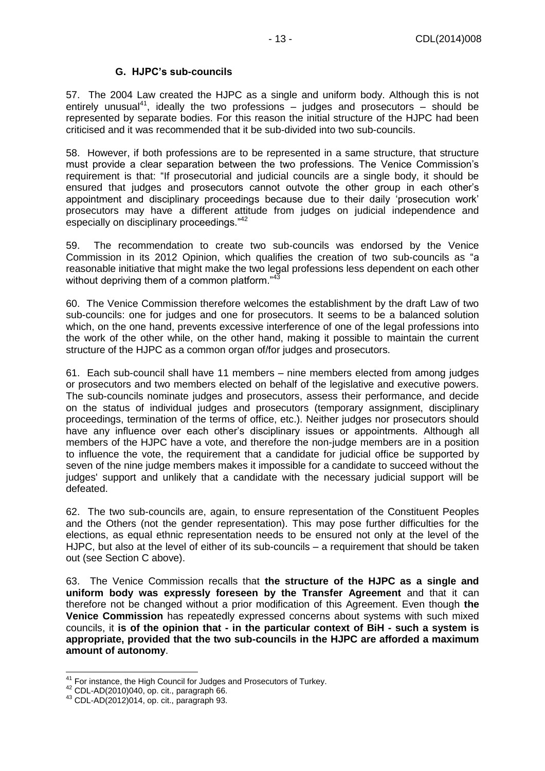### **G. HJPC's sub-councils**

<span id="page-12-0"></span>57. The 2004 Law created the HJPC as a single and uniform body. Although this is not entirely unusual<sup>41</sup>, ideally the two professions  $-$  judges and prosecutors  $-$  should be represented by separate bodies. For this reason the initial structure of the HJPC had been criticised and it was recommended that it be sub-divided into two sub-councils.

58. However, if both professions are to be represented in a same structure, that structure must provide a clear separation between the two professions. The Venice Commission's requirement is that: "If prosecutorial and judicial councils are a single body, it should be ensured that judges and prosecutors cannot outvote the other group in each other's appointment and disciplinary proceedings because due to their daily 'prosecution work' prosecutors may have a different attitude from judges on judicial independence and especially on disciplinary proceedings."<sup>42</sup>

59. The recommendation to create two sub-councils was endorsed by the Venice Commission in its 2012 Opinion, which qualifies the creation of two sub-councils as "a reasonable initiative that might make the two legal professions less dependent on each other without depriving them of a common platform."<sup>43</sup>

60. The Venice Commission therefore welcomes the establishment by the draft Law of two sub-councils: one for judges and one for prosecutors. It seems to be a balanced solution which, on the one hand, prevents excessive interference of one of the legal professions into the work of the other while, on the other hand, making it possible to maintain the current structure of the HJPC as a common organ of/for judges and prosecutors.

61. Each sub-council shall have 11 members – nine members elected from among judges or prosecutors and two members elected on behalf of the legislative and executive powers. The sub-councils nominate judges and prosecutors, assess their performance, and decide on the status of individual judges and prosecutors (temporary assignment, disciplinary proceedings, termination of the terms of office, etc.). Neither judges nor prosecutors should have any influence over each other's disciplinary issues or appointments. Although all members of the HJPC have a vote, and therefore the non-judge members are in a position to influence the vote, the requirement that a candidate for judicial office be supported by seven of the nine judge members makes it impossible for a candidate to succeed without the judges' support and unlikely that a candidate with the necessary judicial support will be defeated.

62. The two sub-councils are, again, to ensure representation of the Constituent Peoples and the Others (not the gender representation). This may pose further difficulties for the elections, as equal ethnic representation needs to be ensured not only at the level of the HJPC, but also at the level of either of its sub-councils – a requirement that should be taken out (see Section C above).

63. The Venice Commission recalls that **the structure of the HJPC as a single and uniform body was expressly foreseen by the Transfer Agreement** and that it can therefore not be changed without a prior modification of this Agreement. Even though **the Venice Commission** has repeatedly expressed concerns about systems with such mixed councils, it **is of the opinion that - in the particular context of BiH - such a system is appropriate, provided that the two sub-councils in the HJPC are afforded a maximum amount of autonomy**.

  $41$  For instance, the High Council for Judges and Prosecutors of Turkey.

<sup>42</sup> CDL-AD(2010)040, op. cit., paragraph 66.

 $43$  CDL-AD(2012)014, op. cit., paragraph 93.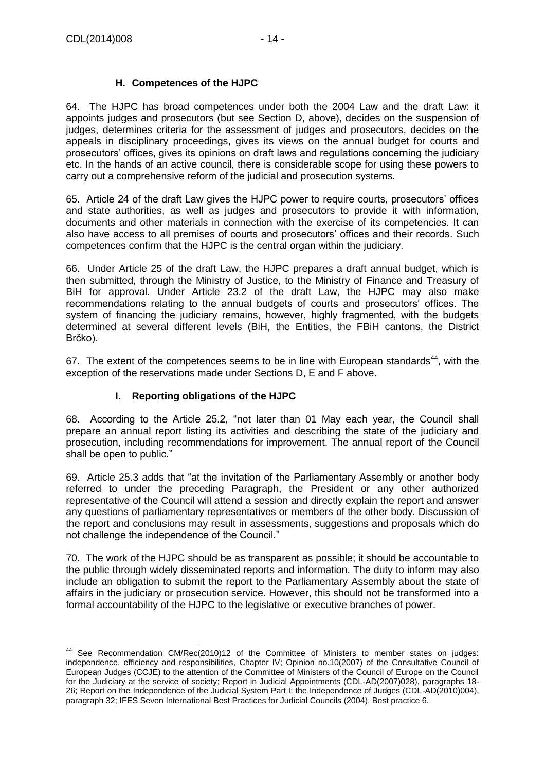## **H. Competences of the HJPC**

<span id="page-13-0"></span>64. The HJPC has broad competences under both the 2004 Law and the draft Law: it appoints judges and prosecutors (but see Section D, above), decides on the suspension of judges, determines criteria for the assessment of judges and prosecutors, decides on the appeals in disciplinary proceedings, gives its views on the annual budget for courts and prosecutors' offices, gives its opinions on draft laws and regulations concerning the judiciary etc. In the hands of an active council, there is considerable scope for using these powers to carry out a comprehensive reform of the judicial and prosecution systems.

65. Article 24 of the draft Law gives the HJPC power to require courts, prosecutors' offices and state authorities, as well as judges and prosecutors to provide it with information, documents and other materials in connection with the exercise of its competencies. It can also have access to all premises of courts and prosecutors' offices and their records. Such competences confirm that the HJPC is the central organ within the judiciary.

66. Under Article 25 of the draft Law, the HJPC prepares a draft annual budget, which is then submitted, through the Ministry of Justice, to the Ministry of Finance and Treasury of BiH for approval. Under Article 23.2 of the draft Law, the HJPC may also make recommendations relating to the annual budgets of courts and prosecutors' offices. The system of financing the judiciary remains, however, highly fragmented, with the budgets determined at several different levels (BiH, the Entities, the FBiH cantons, the District Brčko).

67. The extent of the competences seems to be in line with European standards<sup>44</sup>, with the exception of the reservations made under Sections D, E and F above.

## **I. Reporting obligations of the HJPC**

<span id="page-13-1"></span>68. According to the Article 25.2, "not later than 01 May each year, the Council shall prepare an annual report listing its activities and describing the state of the judiciary and prosecution, including recommendations for improvement. The annual report of the Council shall be open to public."

69. Article 25.3 adds that "at the invitation of the Parliamentary Assembly or another body referred to under the preceding Paragraph, the President or any other authorized representative of the Council will attend a session and directly explain the report and answer any questions of parliamentary representatives or members of the other body. Discussion of the report and conclusions may result in assessments, suggestions and proposals which do not challenge the independence of the Council."

70. The work of the HJPC should be as transparent as possible; it should be accountable to the public through widely disseminated reports and information. The duty to inform may also include an obligation to submit the report to the Parliamentary Assembly about the state of affairs in the judiciary or prosecution service. However, this should not be transformed into a formal accountability of the HJPC to the legislative or executive branches of power.

  $44$  See Recommendation CM/Rec(2010)12 of the Committee of Ministers to member states on judges: independence, efficiency and responsibilities, Chapter IV; Opinion no.10(2007) of the Consultative Council of European Judges (CCJE) to the attention of the Committee of Ministers of the Council of Europe on the Council for the Judiciary at the service of society; Report in Judicial Appointments (CDL-AD(2007)028), paragraphs 18- 26; Report on the Independence of the Judicial System Part I: the Independence of Judges (CDL-AD(2010)004), paragraph 32; IFES Seven International Best Practices for Judicial Councils (2004), Best practice 6.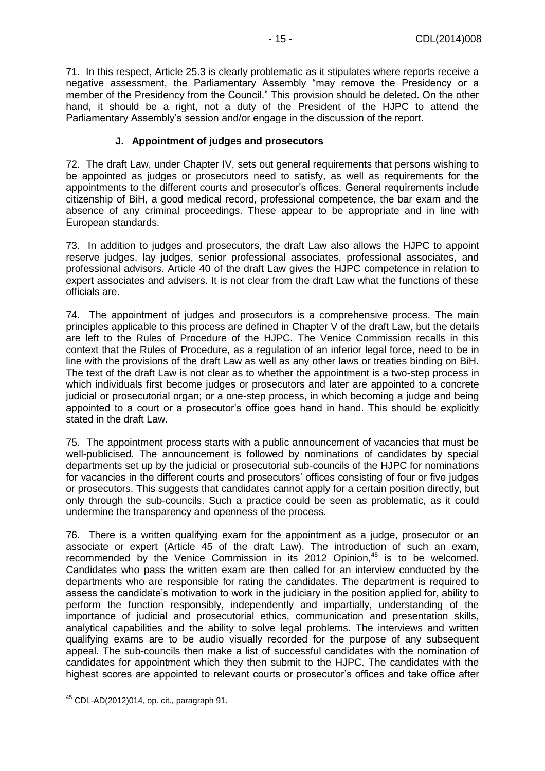71. In this respect, Article 25.3 is clearly problematic as it stipulates where reports receive a negative assessment, the Parliamentary Assembly "may remove the Presidency or a member of the Presidency from the Council." This provision should be deleted. On the other hand, it should be a right, not a duty of the President of the HJPC to attend the Parliamentary Assembly's session and/or engage in the discussion of the report.

### **J. Appointment of judges and prosecutors**

<span id="page-14-0"></span>72. The draft Law, under Chapter IV, sets out general requirements that persons wishing to be appointed as judges or prosecutors need to satisfy, as well as requirements for the appointments to the different courts and prosecutor's offices. General requirements include citizenship of BiH, a good medical record, professional competence, the bar exam and the absence of any criminal proceedings. These appear to be appropriate and in line with European standards.

73. In addition to judges and prosecutors, the draft Law also allows the HJPC to appoint reserve judges, lay judges, senior professional associates, professional associates, and professional advisors. Article 40 of the draft Law gives the HJPC competence in relation to expert associates and advisers. It is not clear from the draft Law what the functions of these officials are.

74. The appointment of judges and prosecutors is a comprehensive process. The main principles applicable to this process are defined in Chapter V of the draft Law, but the details are left to the Rules of Procedure of the HJPC. The Venice Commission recalls in this context that the Rules of Procedure, as a regulation of an inferior legal force, need to be in line with the provisions of the draft Law as well as any other laws or treaties binding on BiH. The text of the draft Law is not clear as to whether the appointment is a two-step process in which individuals first become judges or prosecutors and later are appointed to a concrete judicial or prosecutorial organ; or a one-step process, in which becoming a judge and being appointed to a court or a prosecutor's office goes hand in hand. This should be explicitly stated in the draft Law.

75. The appointment process starts with a public announcement of vacancies that must be well-publicised. The announcement is followed by nominations of candidates by special departments set up by the judicial or prosecutorial sub-councils of the HJPC for nominations for vacancies in the different courts and prosecutors' offices consisting of four or five judges or prosecutors. This suggests that candidates cannot apply for a certain position directly, but only through the sub-councils. Such a practice could be seen as problematic, as it could undermine the transparency and openness of the process.

76. There is a written qualifying exam for the appointment as a judge, prosecutor or an associate or expert (Article 45 of the draft Law). The introduction of such an exam, recommended by the Venice Commission in its 2012 Opinion,<sup>45</sup> is to be welcomed. Candidates who pass the written exam are then called for an interview conducted by the departments who are responsible for rating the candidates. The department is required to assess the candidate's motivation to work in the judiciary in the position applied for, ability to perform the function responsibly, independently and impartially, understanding of the importance of judicial and prosecutorial ethics, communication and presentation skills, analytical capabilities and the ability to solve legal problems. The interviews and written qualifying exams are to be audio visually recorded for the purpose of any subsequent appeal. The sub-councils then make a list of successful candidates with the nomination of candidates for appointment which they then submit to the HJPC. The candidates with the highest scores are appointed to relevant courts or prosecutor's offices and take office after

  $45$  CDL-AD(2012)014, op. cit., paragraph 91.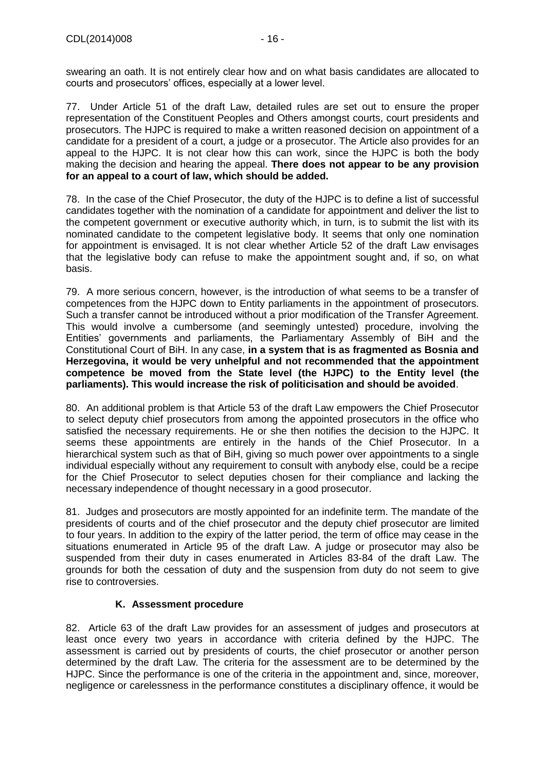swearing an oath. It is not entirely clear how and on what basis candidates are allocated to courts and prosecutors' offices, especially at a lower level.

77. Under Article 51 of the draft Law, detailed rules are set out to ensure the proper representation of the Constituent Peoples and Others amongst courts, court presidents and prosecutors. The HJPC is required to make a written reasoned decision on appointment of a candidate for a president of a court, a judge or a prosecutor. The Article also provides for an appeal to the HJPC. It is not clear how this can work, since the HJPC is both the body making the decision and hearing the appeal. **There does not appear to be any provision for an appeal to a court of law, which should be added.**

78. In the case of the Chief Prosecutor, the duty of the HJPC is to define a list of successful candidates together with the nomination of a candidate for appointment and deliver the list to the competent government or executive authority which, in turn, is to submit the list with its nominated candidate to the competent legislative body. It seems that only one nomination for appointment is envisaged. It is not clear whether Article 52 of the draft Law envisages that the legislative body can refuse to make the appointment sought and, if so, on what basis.

79. A more serious concern, however, is the introduction of what seems to be a transfer of competences from the HJPC down to Entity parliaments in the appointment of prosecutors. Such a transfer cannot be introduced without a prior modification of the Transfer Agreement. This would involve a cumbersome (and seemingly untested) procedure, involving the Entities' governments and parliaments, the Parliamentary Assembly of BiH and the Constitutional Court of BiH. In any case, **in a system that is as fragmented as Bosnia and Herzegovina, it would be very unhelpful and not recommended that the appointment competence be moved from the State level (the HJPC) to the Entity level (the parliaments). This would increase the risk of politicisation and should be avoided**.

80. An additional problem is that Article 53 of the draft Law empowers the Chief Prosecutor to select deputy chief prosecutors from among the appointed prosecutors in the office who satisfied the necessary requirements. He or she then notifies the decision to the HJPC. It seems these appointments are entirely in the hands of the Chief Prosecutor. In a hierarchical system such as that of BiH, giving so much power over appointments to a single individual especially without any requirement to consult with anybody else, could be a recipe for the Chief Prosecutor to select deputies chosen for their compliance and lacking the necessary independence of thought necessary in a good prosecutor.

81. Judges and prosecutors are mostly appointed for an indefinite term. The mandate of the presidents of courts and of the chief prosecutor and the deputy chief prosecutor are limited to four years. In addition to the expiry of the latter period, the term of office may cease in the situations enumerated in Article 95 of the draft Law. A judge or prosecutor may also be suspended from their duty in cases enumerated in Articles 83-84 of the draft Law. The grounds for both the cessation of duty and the suspension from duty do not seem to give rise to controversies.

## **K. Assessment procedure**

<span id="page-15-0"></span>82. Article 63 of the draft Law provides for an assessment of judges and prosecutors at least once every two years in accordance with criteria defined by the HJPC. The assessment is carried out by presidents of courts, the chief prosecutor or another person determined by the draft Law. The criteria for the assessment are to be determined by the HJPC. Since the performance is one of the criteria in the appointment and, since, moreover, negligence or carelessness in the performance constitutes a disciplinary offence, it would be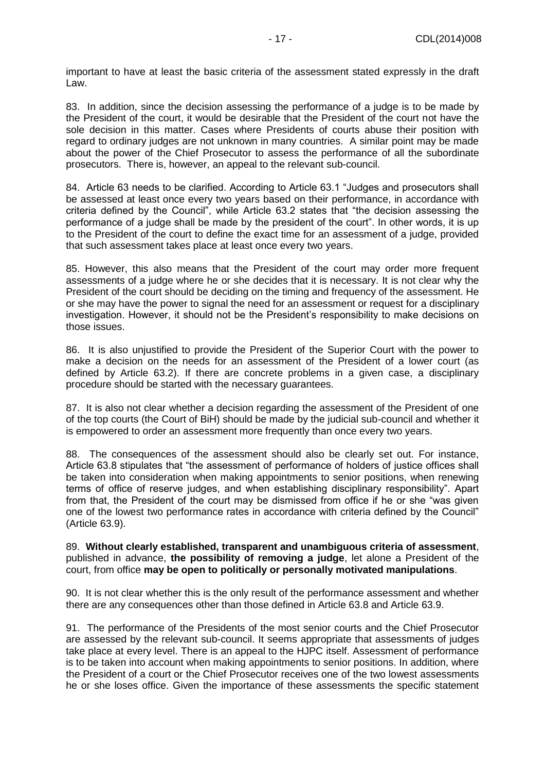important to have at least the basic criteria of the assessment stated expressly in the draft Law.

83. In addition, since the decision assessing the performance of a judge is to be made by the President of the court, it would be desirable that the President of the court not have the sole decision in this matter. Cases where Presidents of courts abuse their position with regard to ordinary judges are not unknown in many countries. A similar point may be made about the power of the Chief Prosecutor to assess the performance of all the subordinate prosecutors. There is, however, an appeal to the relevant sub-council.

84. Article 63 needs to be clarified. According to Article 63.1 "Judges and prosecutors shall be assessed at least once every two years based on their performance, in accordance with criteria defined by the Council", while Article 63.2 states that "the decision assessing the performance of a judge shall be made by the president of the court". In other words, it is up to the President of the court to define the exact time for an assessment of a judge, provided that such assessment takes place at least once every two years.

85. However, this also means that the President of the court may order more frequent assessments of a judge where he or she decides that it is necessary. It is not clear why the President of the court should be deciding on the timing and frequency of the assessment. He or she may have the power to signal the need for an assessment or request for a disciplinary investigation. However, it should not be the President's responsibility to make decisions on those issues.

86. It is also unjustified to provide the President of the Superior Court with the power to make a decision on the needs for an assessment of the President of a lower court (as defined by Article 63.2). If there are concrete problems in a given case, a disciplinary procedure should be started with the necessary guarantees.

87. It is also not clear whether a decision regarding the assessment of the President of one of the top courts (the Court of BiH) should be made by the judicial sub-council and whether it is empowered to order an assessment more frequently than once every two years.

88. The consequences of the assessment should also be clearly set out. For instance, Article 63.8 stipulates that "the assessment of performance of holders of justice offices shall be taken into consideration when making appointments to senior positions, when renewing terms of office of reserve judges, and when establishing disciplinary responsibility". Apart from that, the President of the court may be dismissed from office if he or she "was given one of the lowest two performance rates in accordance with criteria defined by the Council" (Article 63.9).

89. **Without clearly established, transparent and unambiguous criteria of assessment**, published in advance, **the possibility of removing a judge**, let alone a President of the court, from office **may be open to politically or personally motivated manipulations**.

90. It is not clear whether this is the only result of the performance assessment and whether there are any consequences other than those defined in Article 63.8 and Article 63.9.

91. The performance of the Presidents of the most senior courts and the Chief Prosecutor are assessed by the relevant sub-council. It seems appropriate that assessments of judges take place at every level. There is an appeal to the HJPC itself. Assessment of performance is to be taken into account when making appointments to senior positions. In addition, where the President of a court or the Chief Prosecutor receives one of the two lowest assessments he or she loses office. Given the importance of these assessments the specific statement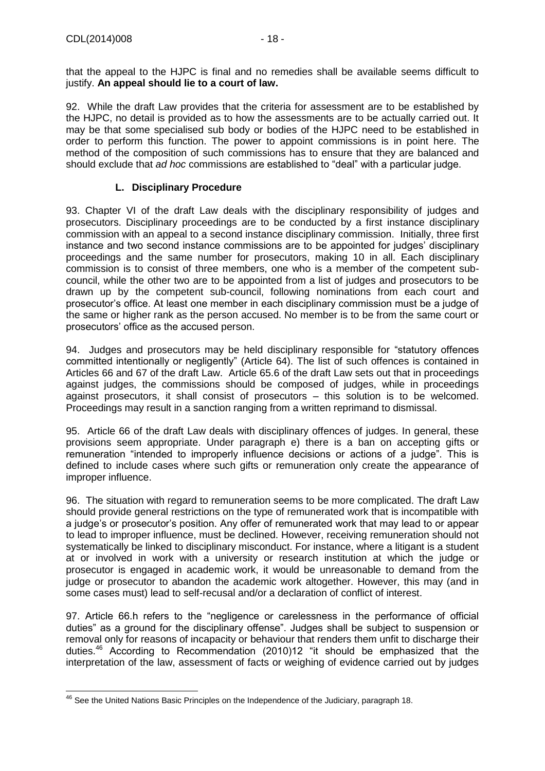that the appeal to the HJPC is final and no remedies shall be available seems difficult to justify. **An appeal should lie to a court of law.**

92. While the draft Law provides that the criteria for assessment are to be established by the HJPC, no detail is provided as to how the assessments are to be actually carried out. It may be that some specialised sub body or bodies of the HJPC need to be established in order to perform this function. The power to appoint commissions is in point here. The method of the composition of such commissions has to ensure that they are balanced and should exclude that *ad hoc* commissions are established to "deal" with a particular judge.

### **L. Disciplinary Procedure**

<span id="page-17-0"></span>93. Chapter VI of the draft Law deals with the disciplinary responsibility of judges and prosecutors. Disciplinary proceedings are to be conducted by a first instance disciplinary commission with an appeal to a second instance disciplinary commission. Initially, three first instance and two second instance commissions are to be appointed for judges' disciplinary proceedings and the same number for prosecutors, making 10 in all. Each disciplinary commission is to consist of three members, one who is a member of the competent subcouncil, while the other two are to be appointed from a list of judges and prosecutors to be drawn up by the competent sub-council, following nominations from each court and prosecutor's office. At least one member in each disciplinary commission must be a judge of the same or higher rank as the person accused. No member is to be from the same court or prosecutors' office as the accused person.

94. Judges and prosecutors may be held disciplinary responsible for "statutory offences committed intentionally or negligently" (Article 64). The list of such offences is contained in Articles 66 and 67 of the draft Law. Article 65.6 of the draft Law sets out that in proceedings against judges, the commissions should be composed of judges, while in proceedings against prosecutors, it shall consist of prosecutors – this solution is to be welcomed. Proceedings may result in a sanction ranging from a written reprimand to dismissal.

95. Article 66 of the draft Law deals with disciplinary offences of judges. In general, these provisions seem appropriate. Under paragraph e) there is a ban on accepting gifts or remuneration "intended to improperly influence decisions or actions of a judge". This is defined to include cases where such gifts or remuneration only create the appearance of improper influence.

96. The situation with regard to remuneration seems to be more complicated. The draft Law should provide general restrictions on the type of remunerated work that is incompatible with a judge's or prosecutor's position. Any offer of remunerated work that may lead to or appear to lead to improper influence, must be declined. However, receiving remuneration should not systematically be linked to disciplinary misconduct. For instance, where a litigant is a student at or involved in work with a university or research institution at which the judge or prosecutor is engaged in academic work, it would be unreasonable to demand from the judge or prosecutor to abandon the academic work altogether. However, this may (and in some cases must) lead to self-recusal and/or a declaration of conflict of interest.

97. Article 66.h refers to the "negligence or carelessness in the performance of official duties" as a ground for the disciplinary offense". Judges shall be subject to suspension or removal only for reasons of incapacity or behaviour that renders them unfit to discharge their duties.<sup>46</sup> According to Recommendation (2010)12 "it should be emphasized that the interpretation of the law, assessment of facts or weighing of evidence carried out by judges

  $46$  See the United Nations Basic Principles on the [Independence](http://www.ohchr.org/EN/ProfessionalInterest/Pages/IndependenceJudiciary.aspx) of the Judiciary, paragraph 18.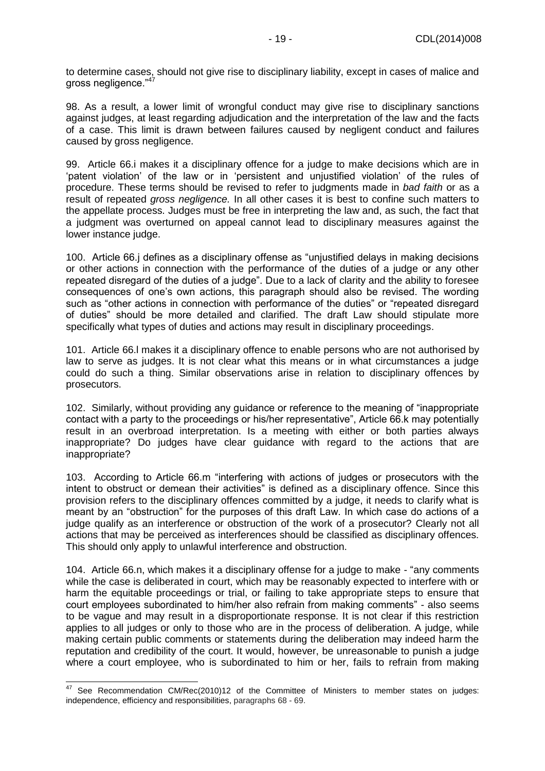to determine cases, should not give rise to disciplinary liability, except in cases of malice and gross negligence."<sup>47</sup>

98. As a result, a lower limit of wrongful conduct may give rise to disciplinary sanctions against judges, at least regarding adjudication and the interpretation of the law and the facts of a case. This limit is drawn between failures caused by negligent conduct and failures caused by gross negligence.

99. Article 66.i makes it a disciplinary offence for a judge to make decisions which are in 'patent violation' of the law or in 'persistent and unjustified violation' of the rules of procedure. These terms should be revised to refer to judgments made in *bad faith* or as a result of repeated *gross negligence.* In all other cases it is best to confine such matters to the appellate process. Judges must be free in interpreting the law and, as such, the fact that a judgment was overturned on appeal cannot lead to disciplinary measures against the lower instance judge.

100. Article 66.j defines as a disciplinary offense as "unjustified delays in making decisions or other actions in connection with the performance of the duties of a judge or any other repeated disregard of the duties of a judge". Due to a lack of clarity and the ability to foresee consequences of one's own actions, this paragraph should also be revised. The wording such as "other actions in connection with performance of the duties" or "repeated disregard of duties" should be more detailed and clarified. The draft Law should stipulate more specifically what types of duties and actions may result in disciplinary proceedings.

101. Article 66.l makes it a disciplinary offence to enable persons who are not authorised by law to serve as judges. It is not clear what this means or in what circumstances a judge could do such a thing. Similar observations arise in relation to disciplinary offences by prosecutors.

102. Similarly, without providing any guidance or reference to the meaning of "inappropriate contact with a party to the proceedings or his/her representative", Article 66.k may potentially result in an overbroad interpretation. Is a meeting with either or both parties always inappropriate? Do judges have clear guidance with regard to the actions that are inappropriate?

103. According to Article 66.m "interfering with actions of judges or prosecutors with the intent to obstruct or demean their activities" is defined as a disciplinary offence. Since this provision refers to the disciplinary offences committed by a judge, it needs to clarify what is meant by an "obstruction" for the purposes of this draft Law. In which case do actions of a judge qualify as an interference or obstruction of the work of a prosecutor? Clearly not all actions that may be perceived as interferences should be classified as disciplinary offences. This should only apply to unlawful interference and obstruction.

104. Article 66.n, which makes it a disciplinary offense for a judge to make - "any comments while the case is deliberated in court, which may be reasonably expected to interfere with or harm the equitable proceedings or trial, or failing to take appropriate steps to ensure that court employees subordinated to him/her also refrain from making comments" - also seems to be vague and may result in a disproportionate response. It is not clear if this restriction applies to all judges or only to those who are in the process of deliberation. A judge, while making certain public comments or statements during the deliberation may indeed harm the reputation and credibility of the court. It would, however, be unreasonable to punish a judge where a court employee, who is subordinated to him or her, fails to refrain from making

 $\overline{\phantom{a}}$  $47$  See Recommendation CM/Rec(2010)12 of the Committee of Ministers to member states on judges: independence, efficiency and responsibilities, paragraphs 68 - 69.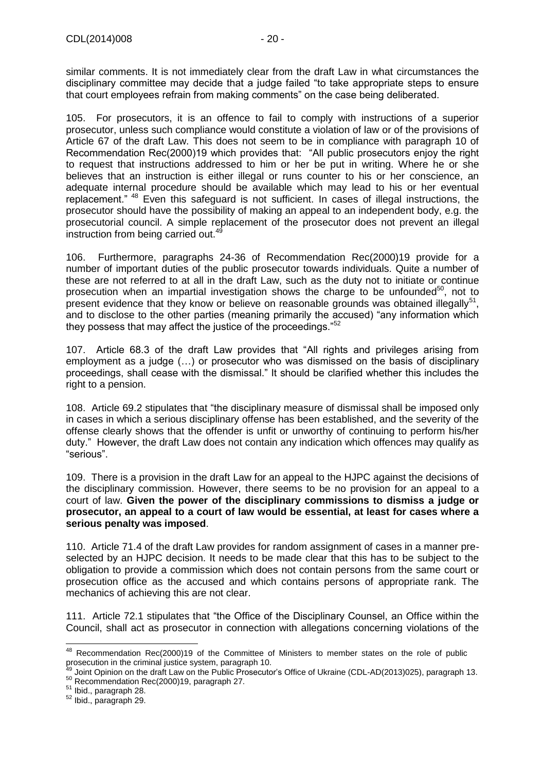similar comments. It is not immediately clear from the draft Law in what circumstances the disciplinary committee may decide that a judge failed "to take appropriate steps to ensure that court employees refrain from making comments" on the case being deliberated.

105. For prosecutors, it is an offence to fail to comply with instructions of a superior prosecutor, unless such compliance would constitute a violation of law or of the provisions of Article 67 of the draft Law. This does not seem to be in compliance with paragraph 10 of Recommendation Rec(2000)19 which provides that: "All public prosecutors enjoy the right to request that instructions addressed to him or her be put in writing. Where he or she believes that an instruction is either illegal or runs counter to his or her conscience, an adequate internal procedure should be available which may lead to his or her eventual replacement." <sup>48</sup> Even this safeguard is not sufficient. In cases of illegal instructions, the prosecutor should have the possibility of making an appeal to an independent body, e.g. the prosecutorial council. A simple replacement of the prosecutor does not prevent an illegal instruction from being carried out.<sup>49</sup>

106. Furthermore, paragraphs 24-36 of Recommendation Rec(2000)19 provide for a number of important duties of the public prosecutor towards individuals. Quite a number of these are not referred to at all in the draft Law, such as the duty not to initiate or continue prosecution when an impartial investigation shows the charge to be unfounded<sup>50</sup>, not to present evidence that they know or believe on reasonable grounds was obtained illegally<sup>51</sup>, and to disclose to the other parties (meaning primarily the accused) "any information which they possess that may affect the justice of the proceedings."<sup>52</sup>

107. Article 68.3 of the draft Law provides that "All rights and privileges arising from employment as a judge (…) or prosecutor who was dismissed on the basis of disciplinary proceedings, shall cease with the dismissal." It should be clarified whether this includes the right to a pension.

108. Article 69.2 stipulates that "the disciplinary measure of dismissal shall be imposed only in cases in which a serious disciplinary offense has been established, and the severity of the offense clearly shows that the offender is unfit or unworthy of continuing to perform his/her duty." However, the draft Law does not contain any indication which offences may qualify as "serious".

109. There is a provision in the draft Law for an appeal to the HJPC against the decisions of the disciplinary commission. However, there seems to be no provision for an appeal to a court of law. **Given the power of the disciplinary commissions to dismiss a judge or prosecutor, an appeal to a court of law would be essential, at least for cases where a serious penalty was imposed**.

110. Article 71.4 of the draft Law provides for random assignment of cases in a manner preselected by an HJPC decision. It needs to be made clear that this has to be subject to the obligation to provide a commission which does not contain persons from the same court or prosecution office as the accused and which contains persons of appropriate rank. The mechanics of achieving this are not clear.

111. Article 72.1 stipulates that "the Office of the Disciplinary Counsel, an Office within the Council, shall act as prosecutor in connection with allegations concerning violations of the

  $48$  Recommendation Rec(2000)19 of the Committee of Ministers to member states on the role of public prosecution in the criminal justice system, paragraph 10.

<sup>&</sup>lt;sup>4</sup> Joint Opinion on the draft Law on the Public Prosecutor's Office of Ukraine (CDL-AD(2013)025), paragraph 13.

 $50$  Recommendation Rec(2000)19, paragraph 27.

<sup>51</sup> Ibid., paragraph 28.

<sup>52</sup> Ibid., paragraph 29.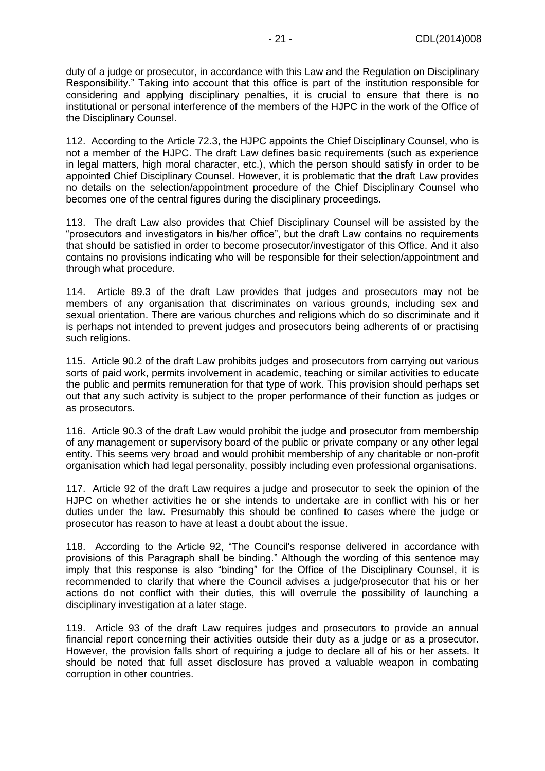duty of a judge or prosecutor, in accordance with this Law and the Regulation on Disciplinary Responsibility." Taking into account that this office is part of the institution responsible for considering and applying disciplinary penalties, it is crucial to ensure that there is no institutional or personal interference of the members of the HJPC in the work of the Office of the Disciplinary Counsel.

112. According to the Article 72.3, the HJPC appoints the Chief Disciplinary Counsel, who is not a member of the HJPC. The draft Law defines basic requirements (such as experience in legal matters, high moral character, etc.), which the person should satisfy in order to be appointed Chief Disciplinary Counsel. However, it is problematic that the draft Law provides no details on the selection/appointment procedure of the Chief Disciplinary Counsel who becomes one of the central figures during the disciplinary proceedings.

113. The draft Law also provides that Chief Disciplinary Counsel will be assisted by the "prosecutors and investigators in his/her office", but the draft Law contains no requirements that should be satisfied in order to become prosecutor/investigator of this Office. And it also contains no provisions indicating who will be responsible for their selection/appointment and through what procedure.

114. Article 89.3 of the draft Law provides that judges and prosecutors may not be members of any organisation that discriminates on various grounds, including sex and sexual orientation. There are various churches and religions which do so discriminate and it is perhaps not intended to prevent judges and prosecutors being adherents of or practising such religions.

115. Article 90.2 of the draft Law prohibits judges and prosecutors from carrying out various sorts of paid work, permits involvement in academic, teaching or similar activities to educate the public and permits remuneration for that type of work. This provision should perhaps set out that any such activity is subject to the proper performance of their function as judges or as prosecutors.

116. Article 90.3 of the draft Law would prohibit the judge and prosecutor from membership of any management or supervisory board of the public or private company or any other legal entity. This seems very broad and would prohibit membership of any charitable or non-profit organisation which had legal personality, possibly including even professional organisations.

117. Article 92 of the draft Law requires a judge and prosecutor to seek the opinion of the HJPC on whether activities he or she intends to undertake are in conflict with his or her duties under the law. Presumably this should be confined to cases where the judge or prosecutor has reason to have at least a doubt about the issue.

118. According to the Article 92, "The Council's response delivered in accordance with provisions of this Paragraph shall be binding." Although the wording of this sentence may imply that this response is also "binding" for the Office of the Disciplinary Counsel, it is recommended to clarify that where the Council advises a judge/prosecutor that his or her actions do not conflict with their duties, this will overrule the possibility of launching a disciplinary investigation at a later stage.

119. Article 93 of the draft Law requires judges and prosecutors to provide an annual financial report concerning their activities outside their duty as a judge or as a prosecutor. However, the provision falls short of requiring a judge to declare all of his or her assets. It should be noted that full asset disclosure has proved a valuable weapon in combating corruption in other countries.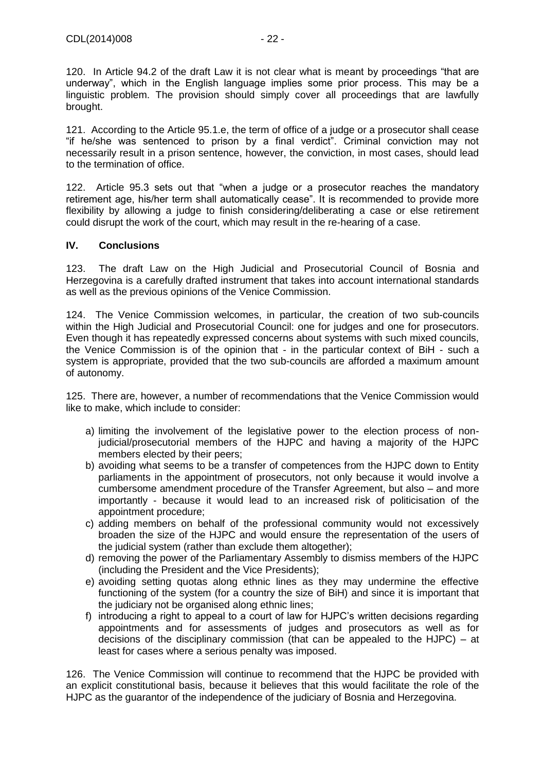120. In Article 94.2 of the draft Law it is not clear what is meant by proceedings "that are underway", which in the English language implies some prior process. This may be a linguistic problem. The provision should simply cover all proceedings that are lawfully brought.

121. According to the Article 95.1.e, the term of office of a judge or a prosecutor shall cease "if he/she was sentenced to prison by a final verdict". Criminal conviction may not necessarily result in a prison sentence, however, the conviction, in most cases, should lead to the termination of office.

122. Article 95.3 sets out that "when a judge or a prosecutor reaches the mandatory retirement age, his/her term shall automatically cease". It is recommended to provide more flexibility by allowing a judge to finish considering/deliberating a case or else retirement could disrupt the work of the court, which may result in the re-hearing of a case.

#### <span id="page-21-0"></span>**IV. Conclusions**

123. The draft Law on the High Judicial and Prosecutorial Council of Bosnia and Herzegovina is a carefully drafted instrument that takes into account international standards as well as the previous opinions of the Venice Commission.

124. The Venice Commission welcomes, in particular, the creation of two sub-councils within the High Judicial and Prosecutorial Council: one for judges and one for prosecutors. Even though it has repeatedly expressed concerns about systems with such mixed councils, the Venice Commission is of the opinion that - in the particular context of BiH - such a system is appropriate, provided that the two sub-councils are afforded a maximum amount of autonomy.

125. There are, however, a number of recommendations that the Venice Commission would like to make, which include to consider:

- a) limiting the involvement of the legislative power to the election process of nonjudicial/prosecutorial members of the HJPC and having a majority of the HJPC members elected by their peers;
- b) avoiding what seems to be a transfer of competences from the HJPC down to Entity parliaments in the appointment of prosecutors, not only because it would involve a cumbersome amendment procedure of the Transfer Agreement, but also – and more importantly - because it would lead to an increased risk of politicisation of the appointment procedure;
- c) adding members on behalf of the professional community would not excessively broaden the size of the HJPC and would ensure the representation of the users of the judicial system (rather than exclude them altogether);
- d) removing the power of the Parliamentary Assembly to dismiss members of the HJPC (including the President and the Vice Presidents);
- e) avoiding setting quotas along ethnic lines as they may undermine the effective functioning of the system (for a country the size of BiH) and since it is important that the judiciary not be organised along ethnic lines;
- f) introducing a right to appeal to a court of law for HJPC's written decisions regarding appointments and for assessments of judges and prosecutors as well as for decisions of the disciplinary commission (that can be appealed to the HJPC) – at least for cases where a serious penalty was imposed.

126. The Venice Commission will continue to recommend that the HJPC be provided with an explicit constitutional basis, because it believes that this would facilitate the role of the HJPC as the guarantor of the independence of the judiciary of Bosnia and Herzegovina.